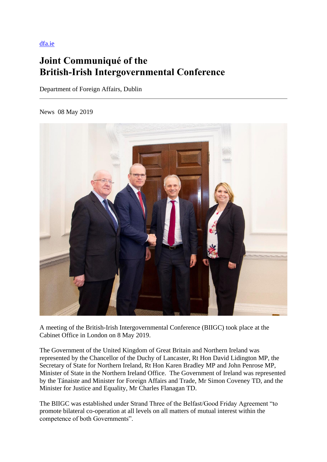[dfa.ie](https://www.dfa.ie/news-and-media/press-releases/press-release-archive/2019/may/joint-communique-of-the-british-irish-intergovernmental-conference.php)

# **Joint Communiqué of the British-Irish Intergovernmental Conference**

Department of Foreign Affairs, Dublin

News 08 May 2019



A meeting of the British-Irish Intergovernmental Conference (BIIGC) took place at the Cabinet Office in London on 8 May 2019.

The Government of the United Kingdom of Great Britain and Northern Ireland was represented by the Chancellor of the Duchy of Lancaster, Rt Hon David Lidington MP, the Secretary of State for Northern Ireland, Rt Hon Karen Bradley MP and John Penrose MP, Minister of State in the Northern Ireland Office. The Government of Ireland was represented by the Tánaiste and Minister for Foreign Affairs and Trade, Mr Simon Coveney TD, and the Minister for Justice and Equality, Mr Charles Flanagan TD.

The BIIGC was established under Strand Three of the Belfast/Good Friday Agreement "to promote bilateral co-operation at all levels on all matters of mutual interest within the competence of both Governments".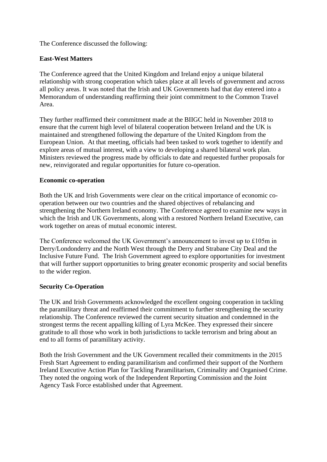The Conference discussed the following:

# **East-West Matters**

The Conference agreed that the United Kingdom and Ireland enjoy a unique bilateral relationship with strong cooperation which takes place at all levels of government and across all policy areas. It was noted that the Irish and UK Governments had that day entered into a Memorandum of understanding reaffirming their joint commitment to the Common Travel Area.

They further reaffirmed their commitment made at the BIIGC held in November 2018 to ensure that the current high level of bilateral cooperation between Ireland and the UK is maintained and strengthened following the departure of the United Kingdom from the European Union. At that meeting, officials had been tasked to work together to identify and explore areas of mutual interest, with a view to developing a shared bilateral work plan. Ministers reviewed the progress made by officials to date and requested further proposals for new, reinvigorated and regular opportunities for future co-operation.

# **Economic co-operation**

Both the UK and Irish Governments were clear on the critical importance of economic cooperation between our two countries and the shared objectives of rebalancing and strengthening the Northern Ireland economy. The Conference agreed to examine new ways in which the Irish and UK Governments, along with a restored Northern Ireland Executive, can work together on areas of mutual economic interest.

The Conference welcomed the UK Government's announcement to invest up to £105m in Derry/Londonderry and the North West through the Derry and Strabane City Deal and the Inclusive Future Fund. The Irish Government agreed to explore opportunities for investment that will further support opportunities to bring greater economic prosperity and social benefits to the wider region.

## **Security Co-Operation**

The UK and Irish Governments acknowledged the excellent ongoing cooperation in tackling the paramilitary threat and reaffirmed their commitment to further strengthening the security relationship. The Conference reviewed the current security situation and condemned in the strongest terms the recent appalling killing of Lyra McKee. They expressed their sincere gratitude to all those who work in both jurisdictions to tackle terrorism and bring about an end to all forms of paramilitary activity.

Both the Irish Government and the UK Government recalled their commitments in the 2015 Fresh Start Agreement to ending paramilitarism and confirmed their support of the Northern Ireland Executive Action Plan for Tackling Paramilitarism, Criminality and Organised Crime. They noted the ongoing work of the Independent Reporting Commission and the Joint Agency Task Force established under that Agreement.